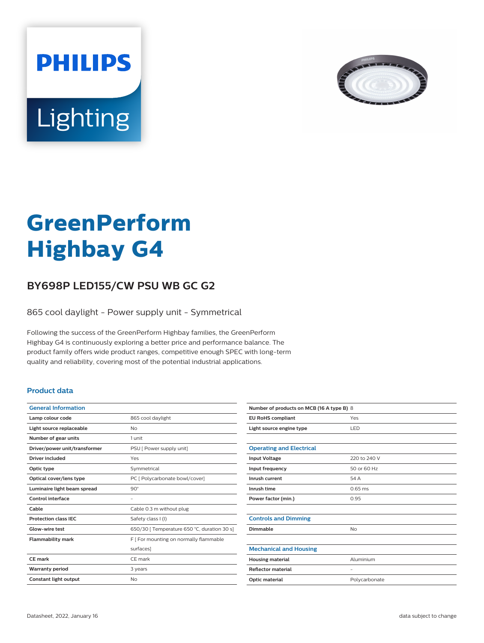



# **GreenPerform Highbay G4**

# **BY698P LED155/CW PSU WB GC G2**

865 cool daylight - Power supply unit - Symmetrical

Following the success of the GreenPerform Highbay families, the GreenPerform Highbay G4 is continuously exploring a better price and performance balance. The product family offers wide product ranges, competitive enough SPEC with long-term quality and reliability, covering most of the potential industrial applications.

### **Product data**

| <b>General Information</b>    |                                             |
|-------------------------------|---------------------------------------------|
| Lamp colour code              | 865 cool daylight                           |
| Light source replaceable      | Nο                                          |
| Number of gear units          | 1 unit                                      |
| Driver/power unit/transformer | PSU [ Power supply unit]                    |
| Driver included               | Yes                                         |
| Optic type                    | Symmetrical                                 |
| Optical cover/lens type       | PC [ Polycarbonate bowl/cover]              |
| Luminaire light beam spread   | $90^\circ$                                  |
| <b>Control interface</b>      |                                             |
| Cable                         | Cable 0.3 m without plug                    |
| <b>Protection class IEC</b>   | Safety class I (I)                          |
| Glow-wire test                | 650/30   Temperature 650 °C, duration 30 s] |
| <b>Flammability mark</b>      | F   For mounting on normally flammable      |
|                               | surfaces]                                   |
| CE mark                       | CE mark                                     |
| <b>Warranty period</b>        | 3 years                                     |
| Constant light output         | No                                          |
|                               |                                             |

| Number of products on MCB (16 A type B) 8 |                   |  |
|-------------------------------------------|-------------------|--|
| <b>EU RoHS compliant</b>                  | Yes               |  |
| Light source engine type                  | LED               |  |
|                                           |                   |  |
| <b>Operating and Electrical</b>           |                   |  |
| <b>Input Voltage</b>                      | 220 to 240 V      |  |
| Input frequency                           | 50 or 60 Hz       |  |
| Inrush current                            | 54 A              |  |
| Inrush time                               | $0.65$ ms         |  |
| Power factor (min.)                       | 0.95              |  |
|                                           |                   |  |
| <b>Controls and Dimming</b>               |                   |  |
| Dimmable                                  | <b>No</b>         |  |
|                                           |                   |  |
| <b>Mechanical and Housing</b>             |                   |  |
| <b>Housing material</b>                   | Aluminium         |  |
| <b>Reflector material</b>                 | $\qquad \qquad -$ |  |
| Optic material                            | Polycarbonate     |  |
|                                           |                   |  |